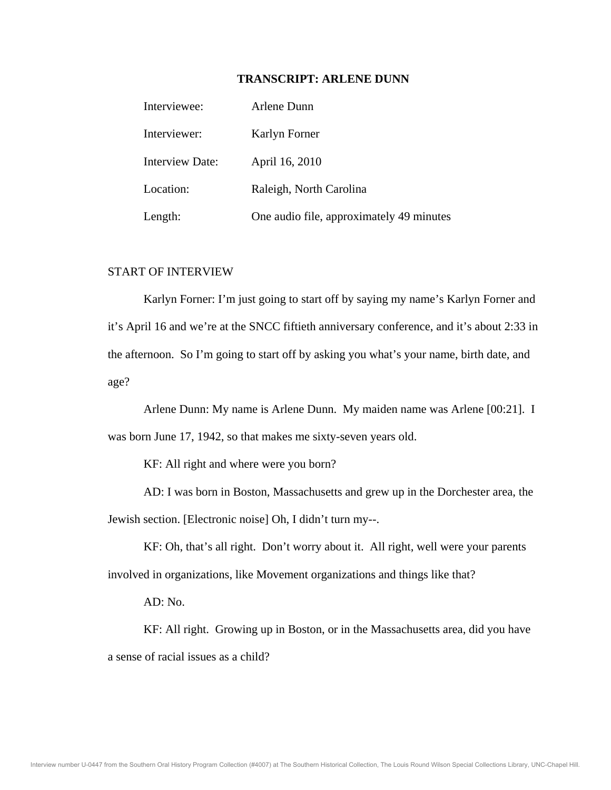## **TRANSCRIPT: ARLENE DUNN**

| Interviewee:           | Arlene Dunn |                                          |
|------------------------|-------------|------------------------------------------|
| Interviewer:           |             | Karlyn Forner                            |
| <b>Interview Date:</b> |             | April 16, 2010                           |
| Location:              |             | Raleigh, North Carolina                  |
| Length:                |             | One audio file, approximately 49 minutes |

# START OF INTERVIEW

 Karlyn Forner: I'm just going to start off by saying my name's Karlyn Forner and it's April 16 and we're at the SNCC fiftieth anniversary conference, and it's about 2:33 in the afternoon. So I'm going to start off by asking you what's your name, birth date, and age?

 Arlene Dunn: My name is Arlene Dunn. My maiden name was Arlene [00:21]. I was born June 17, 1942, so that makes me sixty-seven years old.

KF: All right and where were you born?

 AD: I was born in Boston, Massachusetts and grew up in the Dorchester area, the Jewish section. [Electronic noise] Oh, I didn't turn my--.

 KF: Oh, that's all right. Don't worry about it. All right, well were your parents involved in organizations, like Movement organizations and things like that?

AD: No.

 KF: All right. Growing up in Boston, or in the Massachusetts area, did you have a sense of racial issues as a child?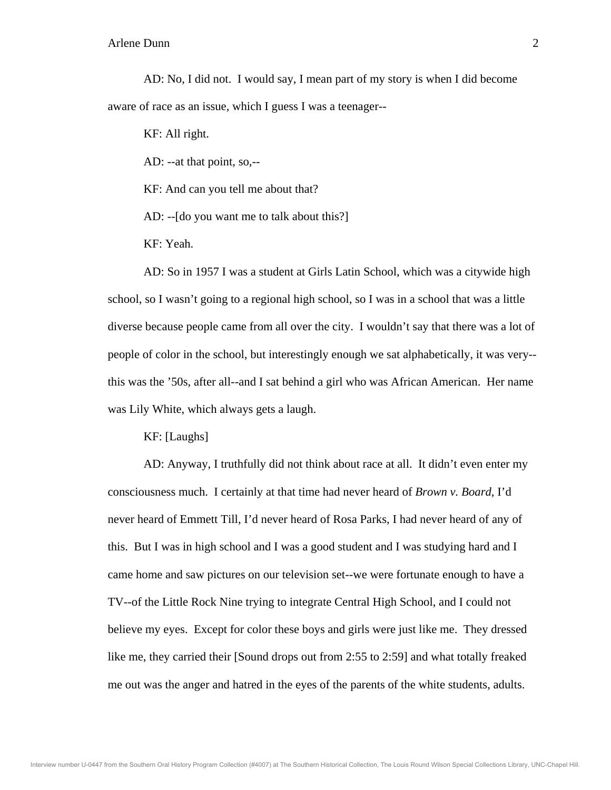AD: No, I did not. I would say, I mean part of my story is when I did become aware of race as an issue, which I guess I was a teenager--

KF: All right.

AD: --at that point, so,--

KF: And can you tell me about that?

AD: --[do you want me to talk about this?]

KF: Yeah.

 AD: So in 1957 I was a student at Girls Latin School, which was a citywide high school, so I wasn't going to a regional high school, so I was in a school that was a little diverse because people came from all over the city. I wouldn't say that there was a lot of people of color in the school, but interestingly enough we sat alphabetically, it was very- this was the '50s, after all--and I sat behind a girl who was African American. Her name was Lily White, which always gets a laugh.

KF: [Laughs]

 AD: Anyway, I truthfully did not think about race at all. It didn't even enter my consciousness much. I certainly at that time had never heard of *Brown v. Board*, I'd never heard of Emmett Till, I'd never heard of Rosa Parks, I had never heard of any of this. But I was in high school and I was a good student and I was studying hard and I came home and saw pictures on our television set--we were fortunate enough to have a TV--of the Little Rock Nine trying to integrate Central High School, and I could not believe my eyes. Except for color these boys and girls were just like me. They dressed like me, they carried their [Sound drops out from 2:55 to 2:59] and what totally freaked me out was the anger and hatred in the eyes of the parents of the white students, adults.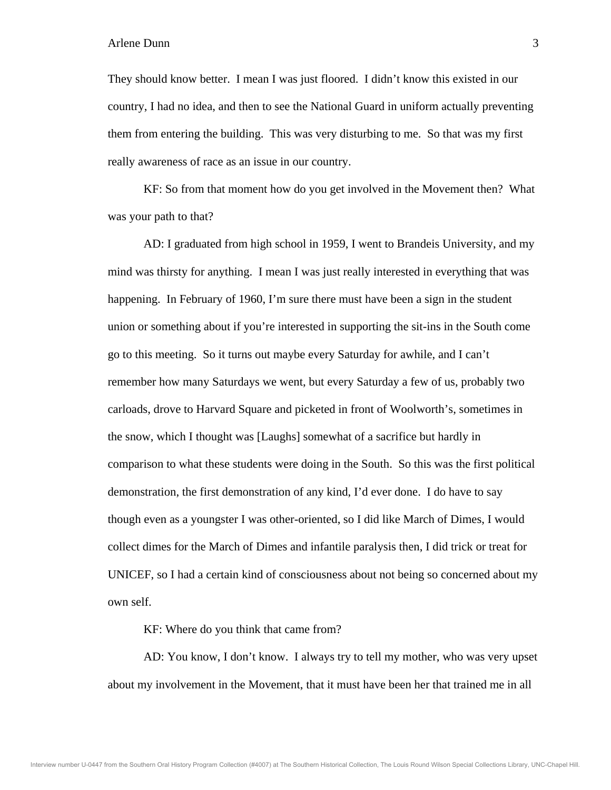They should know better. I mean I was just floored. I didn't know this existed in our country, I had no idea, and then to see the National Guard in uniform actually preventing them from entering the building. This was very disturbing to me. So that was my first really awareness of race as an issue in our country.

 KF: So from that moment how do you get involved in the Movement then? What was your path to that?

 AD: I graduated from high school in 1959, I went to Brandeis University, and my mind was thirsty for anything. I mean I was just really interested in everything that was happening. In February of 1960, I'm sure there must have been a sign in the student union or something about if you're interested in supporting the sit-ins in the South come go to this meeting. So it turns out maybe every Saturday for awhile, and I can't remember how many Saturdays we went, but every Saturday a few of us, probably two carloads, drove to Harvard Square and picketed in front of Woolworth's, sometimes in the snow, which I thought was [Laughs] somewhat of a sacrifice but hardly in comparison to what these students were doing in the South. So this was the first political demonstration, the first demonstration of any kind, I'd ever done. I do have to say though even as a youngster I was other-oriented, so I did like March of Dimes, I would collect dimes for the March of Dimes and infantile paralysis then, I did trick or treat for UNICEF, so I had a certain kind of consciousness about not being so concerned about my own self.

KF: Where do you think that came from?

 AD: You know, I don't know. I always try to tell my mother, who was very upset about my involvement in the Movement, that it must have been her that trained me in all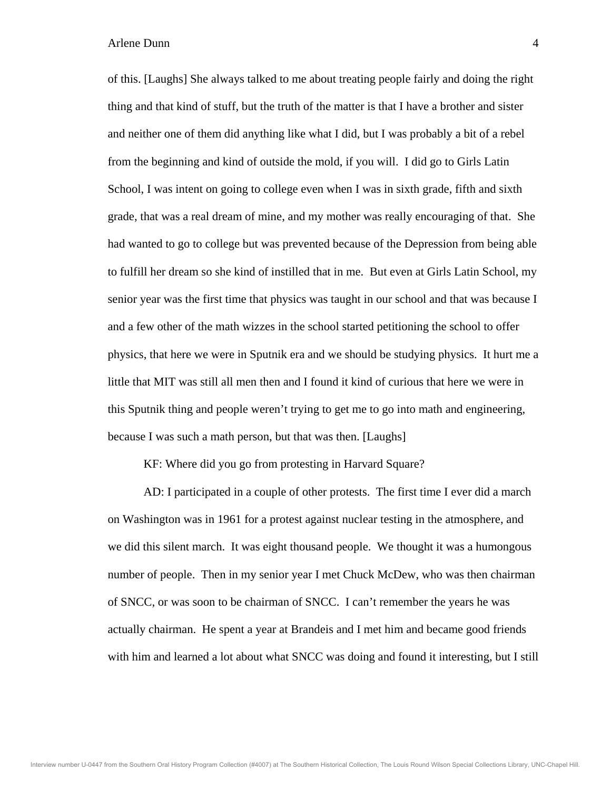of this. [Laughs] She always talked to me about treating people fairly and doing the right thing and that kind of stuff, but the truth of the matter is that I have a brother and sister and neither one of them did anything like what I did, but I was probably a bit of a rebel from the beginning and kind of outside the mold, if you will. I did go to Girls Latin School, I was intent on going to college even when I was in sixth grade, fifth and sixth grade, that was a real dream of mine, and my mother was really encouraging of that. She had wanted to go to college but was prevented because of the Depression from being able to fulfill her dream so she kind of instilled that in me. But even at Girls Latin School, my senior year was the first time that physics was taught in our school and that was because I and a few other of the math wizzes in the school started petitioning the school to offer physics, that here we were in Sputnik era and we should be studying physics. It hurt me a little that MIT was still all men then and I found it kind of curious that here we were in this Sputnik thing and people weren't trying to get me to go into math and engineering, because I was such a math person, but that was then. [Laughs]

KF: Where did you go from protesting in Harvard Square?

 AD: I participated in a couple of other protests. The first time I ever did a march on Washington was in 1961 for a protest against nuclear testing in the atmosphere, and we did this silent march. It was eight thousand people. We thought it was a humongous number of people. Then in my senior year I met Chuck McDew, who was then chairman of SNCC, or was soon to be chairman of SNCC. I can't remember the years he was actually chairman. He spent a year at Brandeis and I met him and became good friends with him and learned a lot about what SNCC was doing and found it interesting, but I still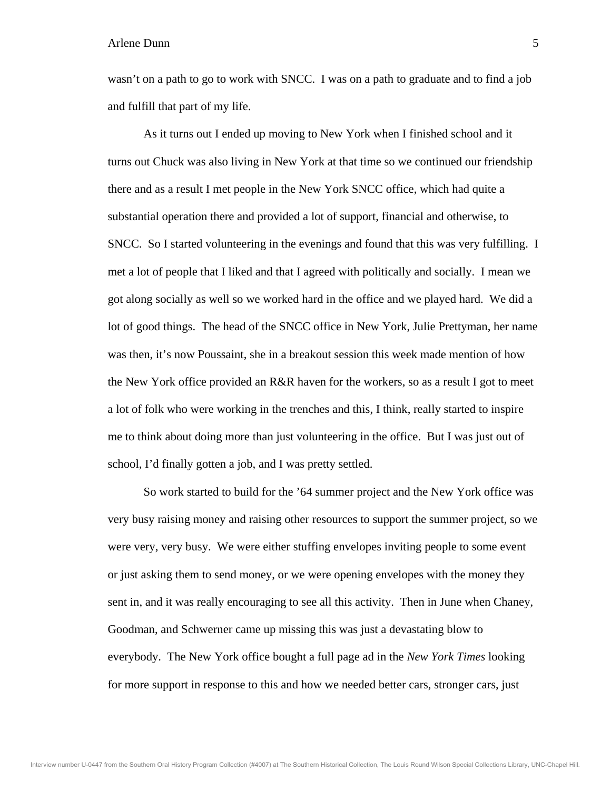wasn't on a path to go to work with SNCC. I was on a path to graduate and to find a job and fulfill that part of my life.

 As it turns out I ended up moving to New York when I finished school and it turns out Chuck was also living in New York at that time so we continued our friendship there and as a result I met people in the New York SNCC office, which had quite a substantial operation there and provided a lot of support, financial and otherwise, to SNCC. So I started volunteering in the evenings and found that this was very fulfilling. I met a lot of people that I liked and that I agreed with politically and socially. I mean we got along socially as well so we worked hard in the office and we played hard. We did a lot of good things. The head of the SNCC office in New York, Julie Prettyman, her name was then, it's now Poussaint, she in a breakout session this week made mention of how the New York office provided an R&R haven for the workers, so as a result I got to meet a lot of folk who were working in the trenches and this, I think, really started to inspire me to think about doing more than just volunteering in the office. But I was just out of school, I'd finally gotten a job, and I was pretty settled.

 So work started to build for the '64 summer project and the New York office was very busy raising money and raising other resources to support the summer project, so we were very, very busy. We were either stuffing envelopes inviting people to some event or just asking them to send money, or we were opening envelopes with the money they sent in, and it was really encouraging to see all this activity. Then in June when Chaney, Goodman, and Schwerner came up missing this was just a devastating blow to everybody. The New York office bought a full page ad in the *New York Times* looking for more support in response to this and how we needed better cars, stronger cars, just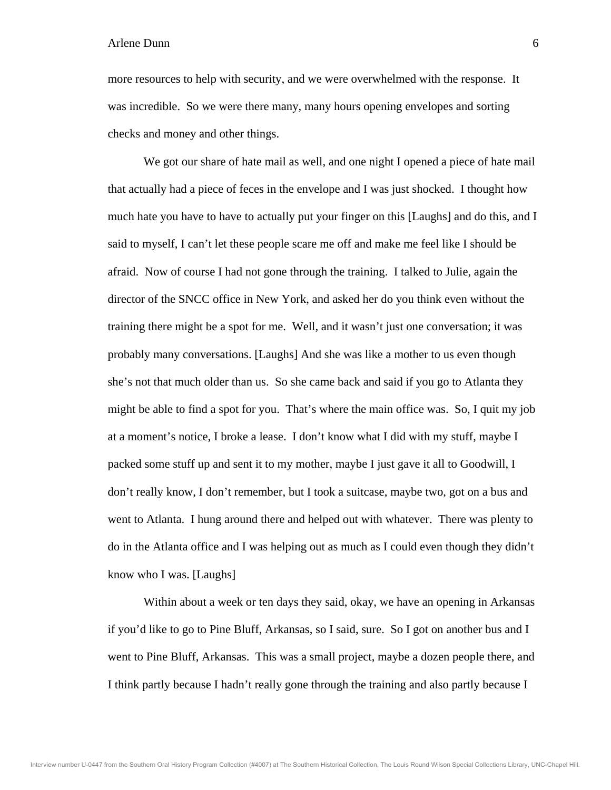more resources to help with security, and we were overwhelmed with the response. It was incredible. So we were there many, many hours opening envelopes and sorting checks and money and other things.

We got our share of hate mail as well, and one night I opened a piece of hate mail that actually had a piece of feces in the envelope and I was just shocked. I thought how much hate you have to have to actually put your finger on this [Laughs] and do this, and I said to myself, I can't let these people scare me off and make me feel like I should be afraid. Now of course I had not gone through the training. I talked to Julie, again the director of the SNCC office in New York, and asked her do you think even without the training there might be a spot for me. Well, and it wasn't just one conversation; it was probably many conversations. [Laughs] And she was like a mother to us even though she's not that much older than us. So she came back and said if you go to Atlanta they might be able to find a spot for you. That's where the main office was. So, I quit my job at a moment's notice, I broke a lease. I don't know what I did with my stuff, maybe I packed some stuff up and sent it to my mother, maybe I just gave it all to Goodwill, I don't really know, I don't remember, but I took a suitcase, maybe two, got on a bus and went to Atlanta. I hung around there and helped out with whatever. There was plenty to do in the Atlanta office and I was helping out as much as I could even though they didn't know who I was. [Laughs]

 Within about a week or ten days they said, okay, we have an opening in Arkansas if you'd like to go to Pine Bluff, Arkansas, so I said, sure. So I got on another bus and I went to Pine Bluff, Arkansas. This was a small project, maybe a dozen people there, and I think partly because I hadn't really gone through the training and also partly because I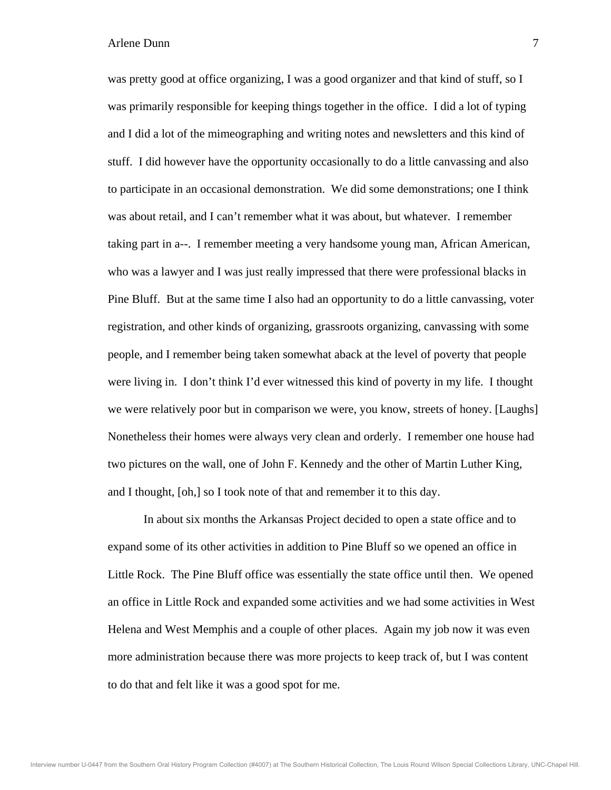was pretty good at office organizing, I was a good organizer and that kind of stuff, so I was primarily responsible for keeping things together in the office. I did a lot of typing and I did a lot of the mimeographing and writing notes and newsletters and this kind of stuff. I did however have the opportunity occasionally to do a little canvassing and also to participate in an occasional demonstration. We did some demonstrations; one I think was about retail, and I can't remember what it was about, but whatever. I remember taking part in a--. I remember meeting a very handsome young man, African American, who was a lawyer and I was just really impressed that there were professional blacks in Pine Bluff. But at the same time I also had an opportunity to do a little canvassing, voter registration, and other kinds of organizing, grassroots organizing, canvassing with some people, and I remember being taken somewhat aback at the level of poverty that people were living in. I don't think I'd ever witnessed this kind of poverty in my life. I thought we were relatively poor but in comparison we were, you know, streets of honey. [Laughs] Nonetheless their homes were always very clean and orderly. I remember one house had two pictures on the wall, one of John F. Kennedy and the other of Martin Luther King, and I thought, [oh,] so I took note of that and remember it to this day.

 In about six months the Arkansas Project decided to open a state office and to expand some of its other activities in addition to Pine Bluff so we opened an office in Little Rock. The Pine Bluff office was essentially the state office until then. We opened an office in Little Rock and expanded some activities and we had some activities in West Helena and West Memphis and a couple of other places. Again my job now it was even more administration because there was more projects to keep track of, but I was content to do that and felt like it was a good spot for me.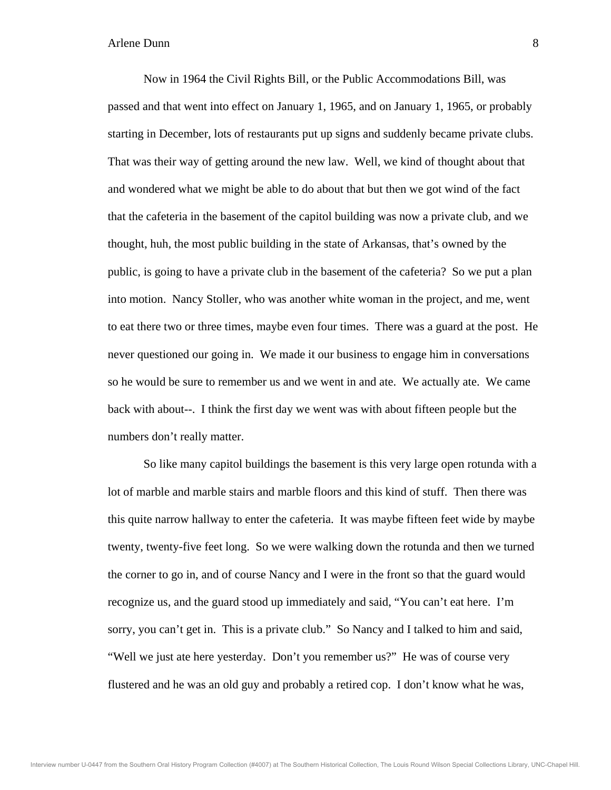Now in 1964 the Civil Rights Bill, or the Public Accommodations Bill, was passed and that went into effect on January 1, 1965, and on January 1, 1965, or probably starting in December, lots of restaurants put up signs and suddenly became private clubs. That was their way of getting around the new law. Well, we kind of thought about that and wondered what we might be able to do about that but then we got wind of the fact that the cafeteria in the basement of the capitol building was now a private club, and we thought, huh, the most public building in the state of Arkansas, that's owned by the public, is going to have a private club in the basement of the cafeteria? So we put a plan into motion. Nancy Stoller, who was another white woman in the project, and me, went to eat there two or three times, maybe even four times. There was a guard at the post. He never questioned our going in. We made it our business to engage him in conversations so he would be sure to remember us and we went in and ate. We actually ate. We came back with about--. I think the first day we went was with about fifteen people but the numbers don't really matter.

 So like many capitol buildings the basement is this very large open rotunda with a lot of marble and marble stairs and marble floors and this kind of stuff. Then there was this quite narrow hallway to enter the cafeteria. It was maybe fifteen feet wide by maybe twenty, twenty-five feet long. So we were walking down the rotunda and then we turned the corner to go in, and of course Nancy and I were in the front so that the guard would recognize us, and the guard stood up immediately and said, "You can't eat here. I'm sorry, you can't get in. This is a private club." So Nancy and I talked to him and said, "Well we just ate here yesterday. Don't you remember us?" He was of course very flustered and he was an old guy and probably a retired cop. I don't know what he was,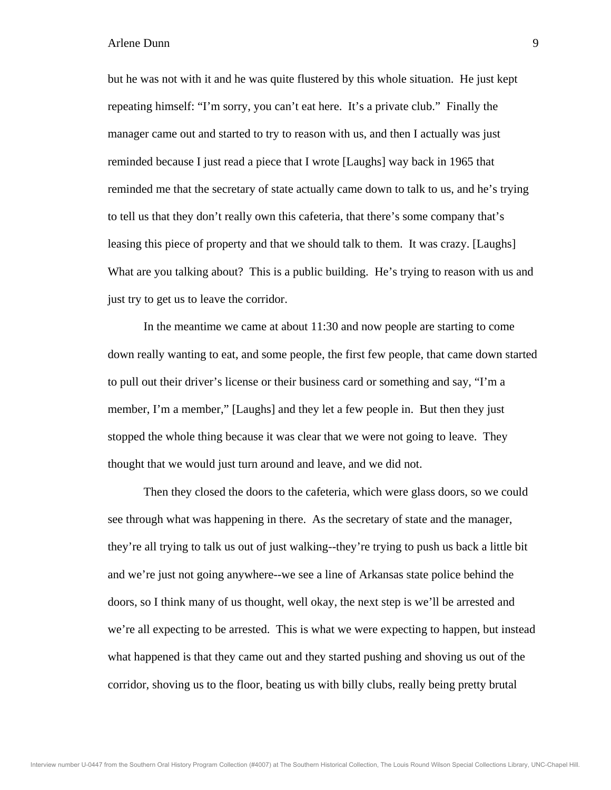but he was not with it and he was quite flustered by this whole situation. He just kept repeating himself: "I'm sorry, you can't eat here. It's a private club." Finally the manager came out and started to try to reason with us, and then I actually was just reminded because I just read a piece that I wrote [Laughs] way back in 1965 that reminded me that the secretary of state actually came down to talk to us, and he's trying to tell us that they don't really own this cafeteria, that there's some company that's leasing this piece of property and that we should talk to them. It was crazy. [Laughs] What are you talking about? This is a public building. He's trying to reason with us and just try to get us to leave the corridor.

 In the meantime we came at about 11:30 and now people are starting to come down really wanting to eat, and some people, the first few people, that came down started to pull out their driver's license or their business card or something and say, "I'm a member, I'm a member," [Laughs] and they let a few people in. But then they just stopped the whole thing because it was clear that we were not going to leave. They thought that we would just turn around and leave, and we did not.

 Then they closed the doors to the cafeteria, which were glass doors, so we could see through what was happening in there. As the secretary of state and the manager, they're all trying to talk us out of just walking--they're trying to push us back a little bit and we're just not going anywhere--we see a line of Arkansas state police behind the doors, so I think many of us thought, well okay, the next step is we'll be arrested and we're all expecting to be arrested. This is what we were expecting to happen, but instead what happened is that they came out and they started pushing and shoving us out of the corridor, shoving us to the floor, beating us with billy clubs, really being pretty brutal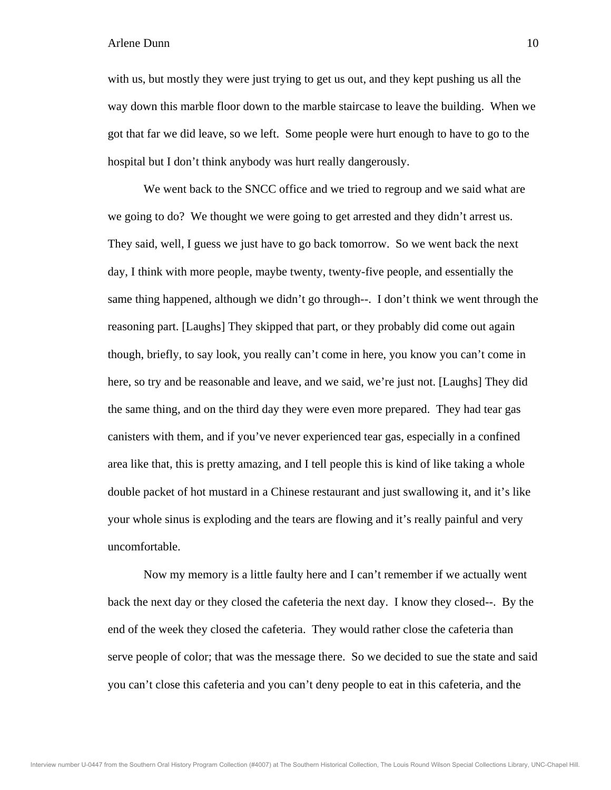with us, but mostly they were just trying to get us out, and they kept pushing us all the way down this marble floor down to the marble staircase to leave the building. When we got that far we did leave, so we left. Some people were hurt enough to have to go to the hospital but I don't think anybody was hurt really dangerously.

 We went back to the SNCC office and we tried to regroup and we said what are we going to do? We thought we were going to get arrested and they didn't arrest us. They said, well, I guess we just have to go back tomorrow. So we went back the next day, I think with more people, maybe twenty, twenty-five people, and essentially the same thing happened, although we didn't go through--. I don't think we went through the reasoning part. [Laughs] They skipped that part, or they probably did come out again though, briefly, to say look, you really can't come in here, you know you can't come in here, so try and be reasonable and leave, and we said, we're just not. [Laughs] They did the same thing, and on the third day they were even more prepared. They had tear gas canisters with them, and if you've never experienced tear gas, especially in a confined area like that, this is pretty amazing, and I tell people this is kind of like taking a whole double packet of hot mustard in a Chinese restaurant and just swallowing it, and it's like your whole sinus is exploding and the tears are flowing and it's really painful and very uncomfortable.

 Now my memory is a little faulty here and I can't remember if we actually went back the next day or they closed the cafeteria the next day. I know they closed--. By the end of the week they closed the cafeteria. They would rather close the cafeteria than serve people of color; that was the message there. So we decided to sue the state and said you can't close this cafeteria and you can't deny people to eat in this cafeteria, and the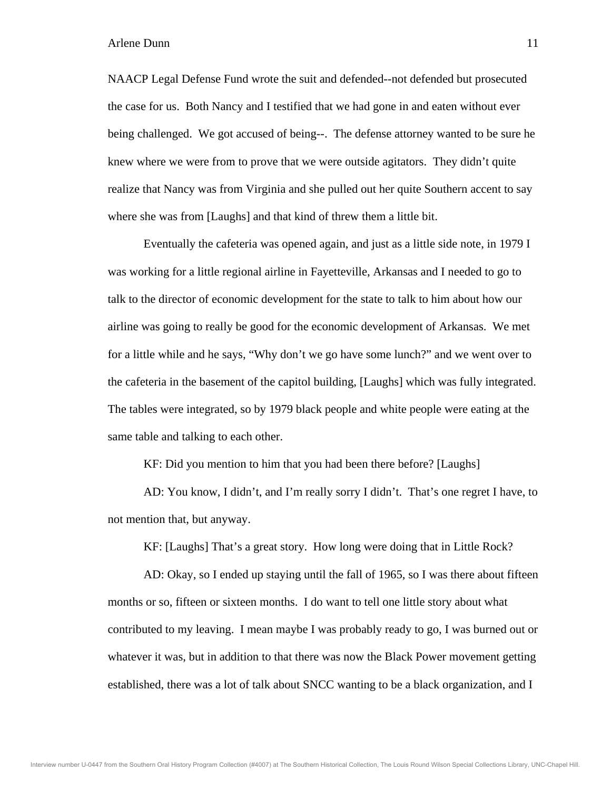NAACP Legal Defense Fund wrote the suit and defended--not defended but prosecuted the case for us. Both Nancy and I testified that we had gone in and eaten without ever being challenged. We got accused of being--. The defense attorney wanted to be sure he knew where we were from to prove that we were outside agitators. They didn't quite realize that Nancy was from Virginia and she pulled out her quite Southern accent to say where she was from [Laughs] and that kind of threw them a little bit.

 Eventually the cafeteria was opened again, and just as a little side note, in 1979 I was working for a little regional airline in Fayetteville, Arkansas and I needed to go to talk to the director of economic development for the state to talk to him about how our airline was going to really be good for the economic development of Arkansas. We met for a little while and he says, "Why don't we go have some lunch?" and we went over to the cafeteria in the basement of the capitol building, [Laughs] which was fully integrated. The tables were integrated, so by 1979 black people and white people were eating at the same table and talking to each other.

KF: Did you mention to him that you had been there before? [Laughs]

 AD: You know, I didn't, and I'm really sorry I didn't. That's one regret I have, to not mention that, but anyway.

KF: [Laughs] That's a great story. How long were doing that in Little Rock?

 AD: Okay, so I ended up staying until the fall of 1965, so I was there about fifteen months or so, fifteen or sixteen months. I do want to tell one little story about what contributed to my leaving. I mean maybe I was probably ready to go, I was burned out or whatever it was, but in addition to that there was now the Black Power movement getting established, there was a lot of talk about SNCC wanting to be a black organization, and I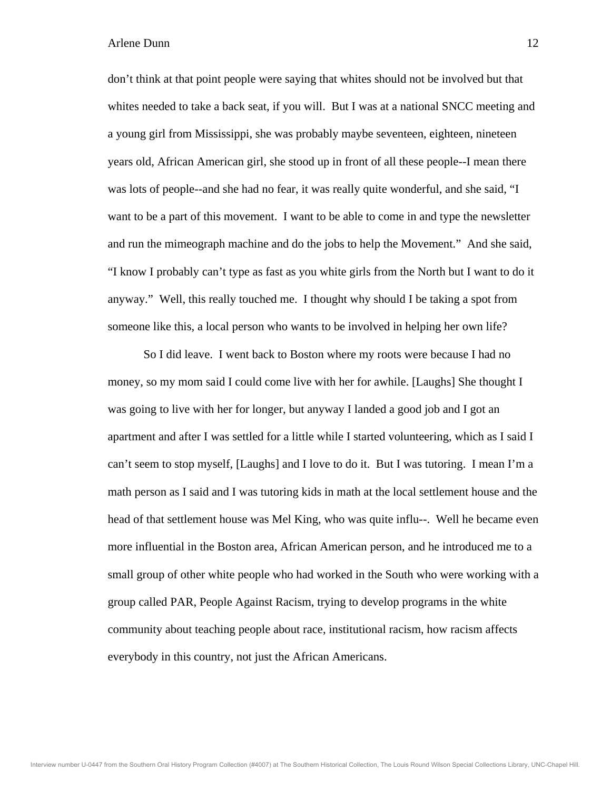don't think at that point people were saying that whites should not be involved but that whites needed to take a back seat, if you will. But I was at a national SNCC meeting and a young girl from Mississippi, she was probably maybe seventeen, eighteen, nineteen years old, African American girl, she stood up in front of all these people--I mean there was lots of people--and she had no fear, it was really quite wonderful, and she said, "I want to be a part of this movement. I want to be able to come in and type the newsletter and run the mimeograph machine and do the jobs to help the Movement." And she said, "I know I probably can't type as fast as you white girls from the North but I want to do it anyway." Well, this really touched me. I thought why should I be taking a spot from someone like this, a local person who wants to be involved in helping her own life?

 So I did leave. I went back to Boston where my roots were because I had no money, so my mom said I could come live with her for awhile. [Laughs] She thought I was going to live with her for longer, but anyway I landed a good job and I got an apartment and after I was settled for a little while I started volunteering, which as I said I can't seem to stop myself, [Laughs] and I love to do it. But I was tutoring. I mean I'm a math person as I said and I was tutoring kids in math at the local settlement house and the head of that settlement house was Mel King, who was quite influ--. Well he became even more influential in the Boston area, African American person, and he introduced me to a small group of other white people who had worked in the South who were working with a group called PAR, People Against Racism, trying to develop programs in the white community about teaching people about race, institutional racism, how racism affects everybody in this country, not just the African Americans.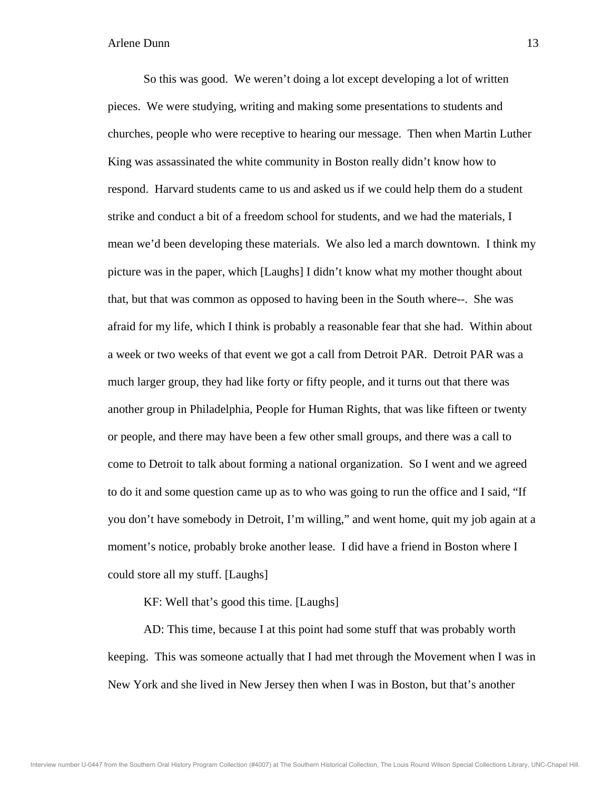So this was good. We weren't doing a lot except developing a lot of written pieces. We were studying, writing and making some presentations to students and churches, people who were receptive to hearing our message. Then when Martin Luther King was assassinated the white community in Boston really didn't know how to respond. Harvard students came to us and asked us if we could help them do a student strike and conduct a bit of a freedom school for students, and we had the materials, I mean we'd been developing these materials. We also led a march downtown. I think my picture was in the paper, which [Laughs] I didn't know what my mother thought about that, but that was common as opposed to having been in the South where--. She was afraid for my life, which I think is probably a reasonable fear that she had. Within about a week or two weeks of that event we got a call from Detroit PAR. Detroit PAR was a much larger group, they had like forty or fifty people, and it turns out that there was another group in Philadelphia, People for Human Rights, that was like fifteen or twenty or people, and there may have been a few other small groups, and there was a call to come to Detroit to talk about forming a national organization. So I went and we agreed to do it and some question came up as to who was going to run the office and I said, "If you don't have somebody in Detroit, I'm willing," and went home, quit my job again at a moment's notice, probably broke another lease. I did have a friend in Boston where I could store all my stuff. [Laughs]

KF: Well that's good this time. [Laughs]

 AD: This time, because I at this point had some stuff that was probably worth keeping. This was someone actually that I had met through the Movement when I was in New York and she lived in New Jersey then when I was in Boston, but that's another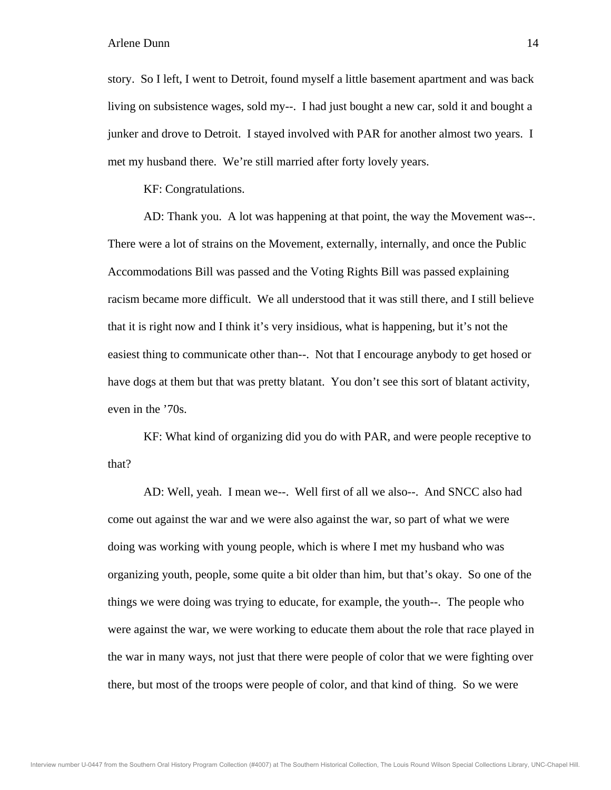story. So I left, I went to Detroit, found myself a little basement apartment and was back living on subsistence wages, sold my--. I had just bought a new car, sold it and bought a junker and drove to Detroit. I stayed involved with PAR for another almost two years. I met my husband there. We're still married after forty lovely years.

KF: Congratulations.

 AD: Thank you. A lot was happening at that point, the way the Movement was--. There were a lot of strains on the Movement, externally, internally, and once the Public Accommodations Bill was passed and the Voting Rights Bill was passed explaining racism became more difficult. We all understood that it was still there, and I still believe that it is right now and I think it's very insidious, what is happening, but it's not the easiest thing to communicate other than--. Not that I encourage anybody to get hosed or have dogs at them but that was pretty blatant. You don't see this sort of blatant activity, even in the '70s.

 KF: What kind of organizing did you do with PAR, and were people receptive to that?

 AD: Well, yeah. I mean we--. Well first of all we also--. And SNCC also had come out against the war and we were also against the war, so part of what we were doing was working with young people, which is where I met my husband who was organizing youth, people, some quite a bit older than him, but that's okay. So one of the things we were doing was trying to educate, for example, the youth--. The people who were against the war, we were working to educate them about the role that race played in the war in many ways, not just that there were people of color that we were fighting over there, but most of the troops were people of color, and that kind of thing. So we were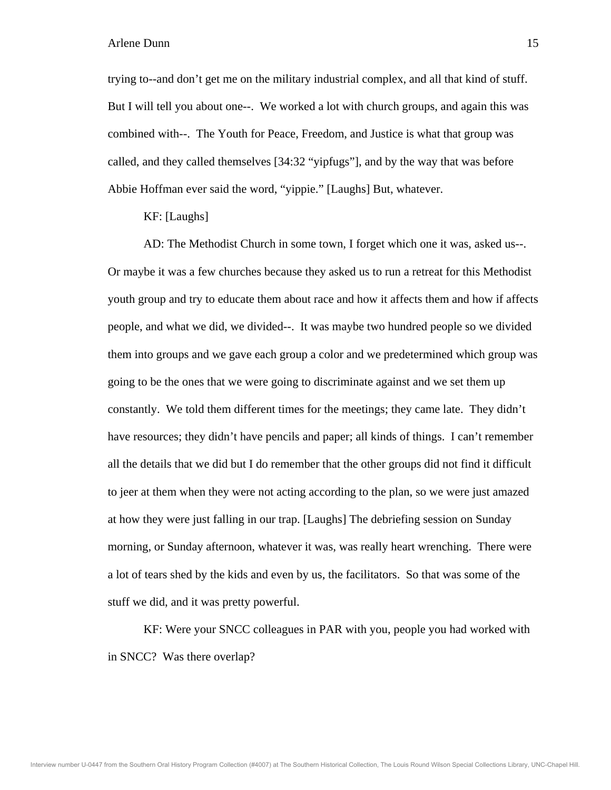trying to--and don't get me on the military industrial complex, and all that kind of stuff. But I will tell you about one--. We worked a lot with church groups, and again this was combined with--. The Youth for Peace, Freedom, and Justice is what that group was called, and they called themselves [34:32 "yipfugs"], and by the way that was before Abbie Hoffman ever said the word, "yippie." [Laughs] But, whatever.

KF: [Laughs]

 AD: The Methodist Church in some town, I forget which one it was, asked us--. Or maybe it was a few churches because they asked us to run a retreat for this Methodist youth group and try to educate them about race and how it affects them and how if affects people, and what we did, we divided--. It was maybe two hundred people so we divided them into groups and we gave each group a color and we predetermined which group was going to be the ones that we were going to discriminate against and we set them up constantly. We told them different times for the meetings; they came late. They didn't have resources; they didn't have pencils and paper; all kinds of things. I can't remember all the details that we did but I do remember that the other groups did not find it difficult to jeer at them when they were not acting according to the plan, so we were just amazed at how they were just falling in our trap. [Laughs] The debriefing session on Sunday morning, or Sunday afternoon, whatever it was, was really heart wrenching. There were a lot of tears shed by the kids and even by us, the facilitators. So that was some of the stuff we did, and it was pretty powerful.

 KF: Were your SNCC colleagues in PAR with you, people you had worked with in SNCC? Was there overlap?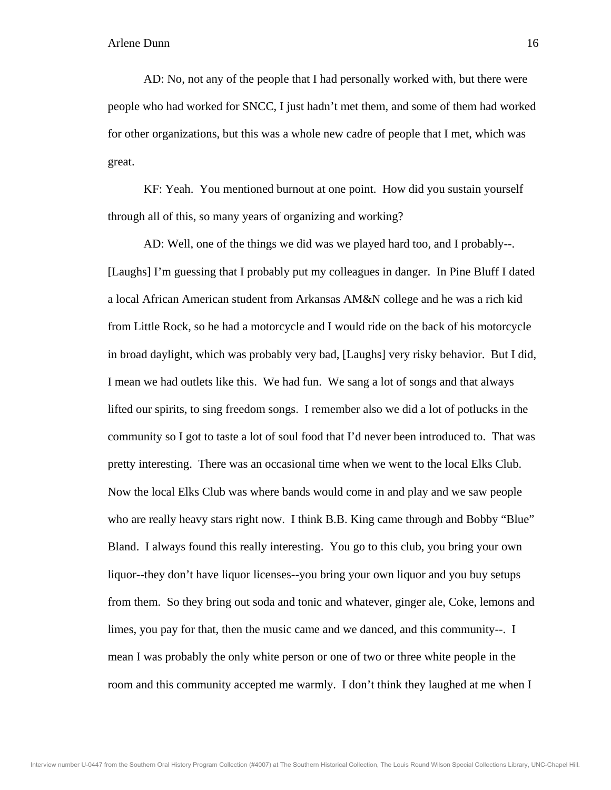AD: No, not any of the people that I had personally worked with, but there were people who had worked for SNCC, I just hadn't met them, and some of them had worked for other organizations, but this was a whole new cadre of people that I met, which was great.

 KF: Yeah. You mentioned burnout at one point. How did you sustain yourself through all of this, so many years of organizing and working?

 AD: Well, one of the things we did was we played hard too, and I probably--. [Laughs] I'm guessing that I probably put my colleagues in danger. In Pine Bluff I dated a local African American student from Arkansas AM&N college and he was a rich kid from Little Rock, so he had a motorcycle and I would ride on the back of his motorcycle in broad daylight, which was probably very bad, [Laughs] very risky behavior. But I did, I mean we had outlets like this. We had fun. We sang a lot of songs and that always lifted our spirits, to sing freedom songs. I remember also we did a lot of potlucks in the community so I got to taste a lot of soul food that I'd never been introduced to. That was pretty interesting. There was an occasional time when we went to the local Elks Club. Now the local Elks Club was where bands would come in and play and we saw people who are really heavy stars right now. I think B.B. King came through and Bobby "Blue" Bland. I always found this really interesting. You go to this club, you bring your own liquor--they don't have liquor licenses--you bring your own liquor and you buy setups from them. So they bring out soda and tonic and whatever, ginger ale, Coke, lemons and limes, you pay for that, then the music came and we danced, and this community--. I mean I was probably the only white person or one of two or three white people in the room and this community accepted me warmly. I don't think they laughed at me when I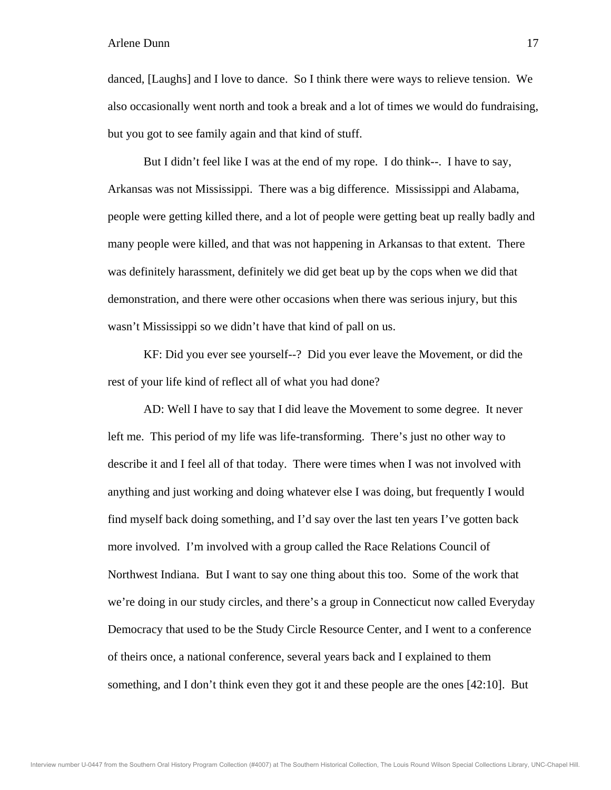danced, [Laughs] and I love to dance. So I think there were ways to relieve tension. We also occasionally went north and took a break and a lot of times we would do fundraising, but you got to see family again and that kind of stuff.

 But I didn't feel like I was at the end of my rope. I do think--. I have to say, Arkansas was not Mississippi. There was a big difference. Mississippi and Alabama, people were getting killed there, and a lot of people were getting beat up really badly and many people were killed, and that was not happening in Arkansas to that extent. There was definitely harassment, definitely we did get beat up by the cops when we did that demonstration, and there were other occasions when there was serious injury, but this wasn't Mississippi so we didn't have that kind of pall on us.

 KF: Did you ever see yourself--? Did you ever leave the Movement, or did the rest of your life kind of reflect all of what you had done?

 AD: Well I have to say that I did leave the Movement to some degree. It never left me. This period of my life was life-transforming. There's just no other way to describe it and I feel all of that today. There were times when I was not involved with anything and just working and doing whatever else I was doing, but frequently I would find myself back doing something, and I'd say over the last ten years I've gotten back more involved. I'm involved with a group called the Race Relations Council of Northwest Indiana. But I want to say one thing about this too. Some of the work that we're doing in our study circles, and there's a group in Connecticut now called Everyday Democracy that used to be the Study Circle Resource Center, and I went to a conference of theirs once, a national conference, several years back and I explained to them something, and I don't think even they got it and these people are the ones [42:10]. But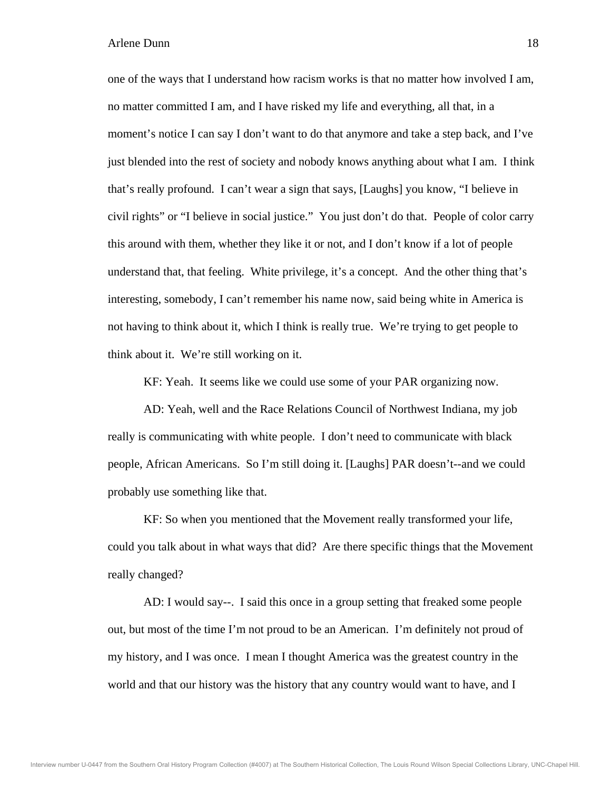one of the ways that I understand how racism works is that no matter how involved I am, no matter committed I am, and I have risked my life and everything, all that, in a moment's notice I can say I don't want to do that anymore and take a step back, and I've just blended into the rest of society and nobody knows anything about what I am. I think that's really profound. I can't wear a sign that says, [Laughs] you know, "I believe in civil rights" or "I believe in social justice." You just don't do that. People of color carry this around with them, whether they like it or not, and I don't know if a lot of people understand that, that feeling. White privilege, it's a concept. And the other thing that's interesting, somebody, I can't remember his name now, said being white in America is not having to think about it, which I think is really true. We're trying to get people to think about it. We're still working on it.

KF: Yeah. It seems like we could use some of your PAR organizing now.

 AD: Yeah, well and the Race Relations Council of Northwest Indiana, my job really is communicating with white people. I don't need to communicate with black people, African Americans. So I'm still doing it. [Laughs] PAR doesn't--and we could probably use something like that.

 KF: So when you mentioned that the Movement really transformed your life, could you talk about in what ways that did? Are there specific things that the Movement really changed?

 AD: I would say--. I said this once in a group setting that freaked some people out, but most of the time I'm not proud to be an American. I'm definitely not proud of my history, and I was once. I mean I thought America was the greatest country in the world and that our history was the history that any country would want to have, and I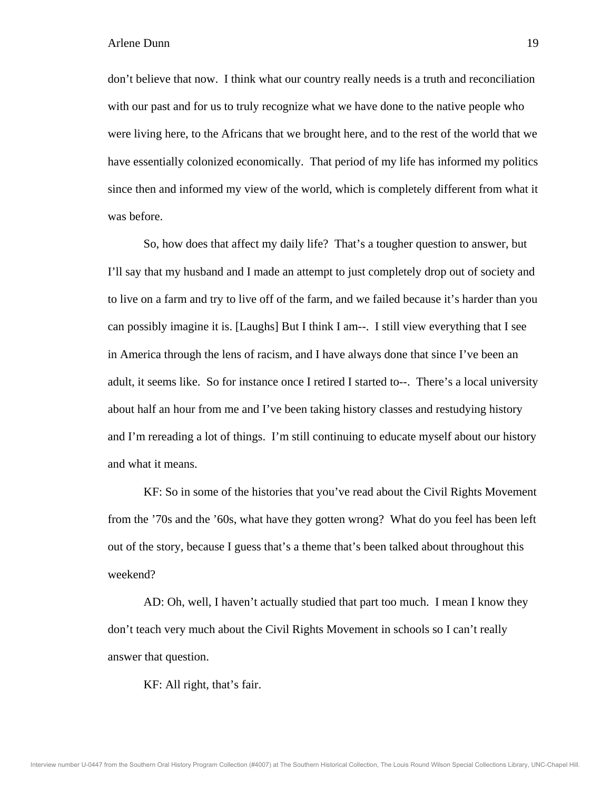don't believe that now. I think what our country really needs is a truth and reconciliation with our past and for us to truly recognize what we have done to the native people who were living here, to the Africans that we brought here, and to the rest of the world that we have essentially colonized economically. That period of my life has informed my politics since then and informed my view of the world, which is completely different from what it was before.

 So, how does that affect my daily life? That's a tougher question to answer, but I'll say that my husband and I made an attempt to just completely drop out of society and to live on a farm and try to live off of the farm, and we failed because it's harder than you can possibly imagine it is. [Laughs] But I think I am--. I still view everything that I see in America through the lens of racism, and I have always done that since I've been an adult, it seems like. So for instance once I retired I started to--. There's a local university about half an hour from me and I've been taking history classes and restudying history and I'm rereading a lot of things. I'm still continuing to educate myself about our history and what it means.

 KF: So in some of the histories that you've read about the Civil Rights Movement from the '70s and the '60s, what have they gotten wrong? What do you feel has been left out of the story, because I guess that's a theme that's been talked about throughout this weekend?

 AD: Oh, well, I haven't actually studied that part too much. I mean I know they don't teach very much about the Civil Rights Movement in schools so I can't really answer that question.

KF: All right, that's fair.